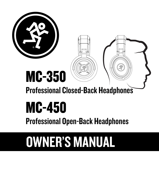

MC-350



### Professional Closed-Back Headphones

## MC-450 Professional Open-Back Headphones

# OWNER'S MANUAL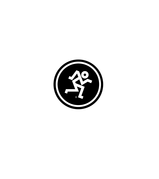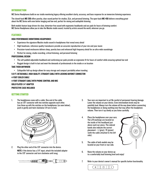#### INTRODUCTION

MC Series Headphones build on our studio monitoring legacy offering excellent clarity, accuracy, and bass response for an immersive listening experience.

The closed-back MC-350 offers punchy, clear sound perfect for studios, DJs, and personal listening. The open-back MC-450 delivers everything great about the MC Series with even better imaging and low-end, perfect for mixing and audiophile listening.

Both models feature large drivers for clear, distortion-free sound with ergonomic headbands and ear pads for hours of listening comfort. MC Series Headphones allow you to take the Mackie studio sound, trusted by artists around the world, wherever you go.

#### FEATURES

#### HIGH-PERFORMANCE MONITORING HEADPHONES

- Experience the signature Mackie studio sound in headphones that reveal every detail
- High-headroom, reference-quality transducers provide an accurate reproduction of your mix and your music
- Precision-tuned enclosures delivers deep, punchy bass and enhanced high frequency detail for an ultra-wide soundstage
- Perfect for mixing, studio recording, critical listening, and personal listening

#### PROFESSIONAL DESIGN

- The soft padded adjustable headband and conforming ear pads provide an ergonomic fit for hours of comfort while ensuring optimal low-end
- Rugged design is built to last and meet the demands of professionals in the studio or on location

#### TAKE THEM ANYWHERE

• Collapsible fold-up design allows for easy storage and compact portability when traveling

#### 9.8 FT. DETACHABLE, HIGH-QUALITY, STRAIGHT CABLE WITH LOCKING BAYONET CONNECTOR

#### 4-FOOT COILED CABLE

4-FOOT STRAIGHT CABLE WITH PHONE CONTROL AND MIC

#### GOLD PLATED 1/4" ADAPTER

#### PROTECTIVE CASE INCLUDED

#### GETTING STARTED

1. The headphones come with a cable. One end of the cable has an  $1/8$ " connector with two notches opposite each other. Line these up with the notches on the headphones (as seen below), push in gently and twist clockwise 1/4 turn to lock.



2. Plug the other end of the 1/8" connector into the device. NOTE: if the device has a 1/4" input, attach the included adapter to the 1/8" connector and turn clockwise until snug.



- 3. Your ears are important to us! Be careful of permanent hearing damage. Lower the volume on your device. Even intermediate levels may be painfully loud. Always turn the volume all the way down before connecting the headphones or doing anything new that may affect the headphone volume. Then turn it up slowly as you listen carefully.
- 4. Place the headphones over your ears. The L/R markings are located on the inside of the headband just above each ear piece. The colored bands also indicate the correct placement – L (grey) / R (green) (with the cable attached to the left side).
- 5. The cable of both models may be located on your front or rear side.
- 6. Raise the volume on your device up to a comfortably loud listening level and enjoy!
- 7. Refer to your device's owner's manual for specific button functionality.

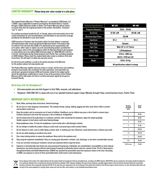#### LIMITED WARRANTY Please keep your sales receipt in a safe place.

This Limited Product Warranty ("Product Warranty") is provided by LOUD Audio, LLC ("LOUD") and is applicable to products purchased in the United States or Canada through a LOUD-authorized reseller or dealer. The Product Warranty will not extend to anyone other than the original purchaser of the product (hereinafter, "Customer," "you" or "your").

For products purchased outside the U.S. or Canada, please visit www.mackie.com to find contact information for your local distributor, and information on any warranty coverage provided by the distributor in your local market.

LOUD warrants to Customer that the product will be free from defects in materials and workmanship under normal use during the Warranty Period. If the product fails to conform to the warranty then LOUD or its authorized service representative will at its option, either repair or replace any such nonconforming product, provided that Customer gives notice of the noncompliance within the Warranty Period to the Company at: www.mackie.com or by calling LOUD technical support at 1.800.898.3211 (toll-free in the U.S. and Canada) during normal business hours Pacific Time, excluding weekends or LOUD holidays. Please retain the original dated sales receipt as evidence of the date of purchase. You will need it to obtain any warranty service.

For full terms and conditions, as well as the specific duration of the Warranty for this product, please visit www.mackie.com.

The Product Warranty, together with your invoice or receipt, and the terms and conditions located at www.mackie.com constitutes the entire agreement, and supersedes any and all prior agreements between LOUD and Customer related to the subject matter hereof. No amendment, modification or waiver of any of the provisions of this Product Warranty will be valid unless set forth in a written instrument signed by the party to be bound thereby.

| <b>Technical Specifications</b> | <b>MC-350</b>                                      | <b>MC-450</b> |
|---------------------------------|----------------------------------------------------|---------------|
| <b>Frequency Response</b>       | 20 Hz - 20 kHz                                     |               |
| <b>Sensitivity</b>              | 97 dB / mW                                         | 101 dB $/$ mW |
| <b>Maximum Input Power</b>      | <b>20 mW</b>                                       |               |
| Impedance                       | $32\Omega$                                         | 54 $\Omega$   |
| <b>Drive Type</b>               | <b>Dynamic</b>                                     |               |
| <b>Input Type</b>               | Male 1/8" or 1/4" Stereo                           |               |
| <b>Output Type</b>              | <b>L/R Headphones</b>                              |               |
| <b>Cable Length</b>             | 117.6 in • 2987 mm<br>48.0 in $\cdot$ 1219 mm (x2) |               |
| Weight                          | $0.8$ lb $\cdot$ 0.4 kg                            |               |
|                                 | All specifications subject to change               |               |

#### Need help with the Headphones?

- Visit www.mackie.com and click Support to find: FAQs, manuals, and addendums.
- Telephone 1-800-898-3211 to speak with one of our splendid technical support chaps (Monday through Friday, normal business hours, Pacific Time).

#### IMPORTANT SAFETY INSTRUCTIONS

- 1. Read, follow, and keep these instructions. Heed all warnings.
- 2. Do not use in or near dangerous environments. This includes driving, cycling, walking, jogging and other areas where traffic is present and accidents could occur.
- 3. Keep this product and its accessories out of reach of children. Handling or use by children may pose a risk of death or serious injury. Contains small parts and cords that may pose a risk of choking or strangulation.
- 4. Set the volume level of the audio device to a minimum, and then, after connecting the earphones, adjust the volume gradually. Sudden exposure to loud noises could cause hearing damage.
- 5. Keep headphones clean. To clean the headphones, wash outside with a mild detergent solution.
- 6. Do not attempt to modify this product. Doing so could result in personal injury and/or product failure.
- 7. Do not immerse in water, such as while taking a shower, bath, or washing your face. Otherwise, sound deterioration or failures may result.
- 8. Do not use while sleeping as accidents may result.
- 9. Use a slow twisting motion to remove the earphones. Never pull on the earphone cord.
- 10. Stop using the earphones immediately if they are causing great discomfort, irritation, rash, discharge, or any other uncomfortable reaction.
- 11. If you are currently receiving ear treatment, consult your physician before using this device.
- 12. Exposure to extremely high noise levels may cause permanent hearing loss. Individuals vary considerably in susceptibility to noise-induced hearing loss, but nearly everyone will lose some hearing if exposed to sufficiently intense noise for a period of time. The U.S. Government's Occupational Safety and Health Administration (OSHA) has specified the permissible noise level exposures shown in the chart. According to OSHA, any exposure in excess of these permissible limits could result in some hearing loss.



Correct disposal of this product: This symbol indicates that this product should not be disposed of with your household waste, according to the WEEE directive (2012/19/EU) and your national law. This product should be hand to an authorized collection site for recycling waste electrical and electronic equipment (EEE). Improper handling of this type of waste could have a possible negative impact on the environment and human health due to poten hazardous substances that are generally associated with EEE. At the same time, your cooperation in the correct disposal of this product will contribute to the effective usage of natural resources. For more information abou can drop off your waste equipment for recycling, please contact your local city office, waste authority, or your household waste disposal service.

| Duration,<br>per day in<br>hours | Sound<br>Level |
|----------------------------------|----------------|
| 8                                | 90 dB          |
| 6                                | 92 dB          |
| 4                                | 95 dB          |
| 3                                | 97 dB          |
| $\overline{2}$                   | 100 dB         |
| 1.5                              | 102 dB         |
|                                  | 105 dB         |
| 0.5                              | 110 dB         |
| 0.25 or less                     | 115 dB         |

 $\mathbf{I}$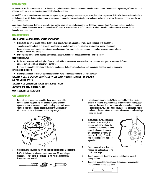#### INTRODUCCIÓN

Los auriculares MC Series diseñados a partir de nuestro legado de sistemas de monitorización de estudio ofrecen una excelente claridad y precisión, así como una perfecta respuesta en graves para una experiencia acústica totalmente inmersiva.

Los MC-350 de casco cerrado ofrecen un sonido claro y con pegada, perfecto para estudios de grabación. DJs y disfrute personal. El MC-450 de casco abierto le ofrece todo lo bueno de los MC Series con incluso una mejor imagen y respuesta en graves, haciendo que resulten perfectos para el trabajo de mezclas y para la escucha por auténticos audiófilos.

Todos los modelos disponen de grandes cabezales para ofrecer un sonido y sin distorsión con unas diademas y almohadillas ergonómicas para que pueda tener una escucha confortable durante horas. Los auriculares MC Series le permiten llevar el auténtico sonido Mackie de estudio, en el que confían músicos de todo el mundo, vaya donde vaya.

#### CARACTERÍSTICAS

#### AURICULARES DE MONITORIZACIÓN DE ALTO RENDIMIENTO

- Disfrute del auténtico sonido Mackie de estudio en unos auriculares capaces de revelar hasta el mínimo detalle del sonido
- Transductores con calidad de referencia y amplio margen que le ofrecen una reproducción precisa de su mezcla y su música
- Cascos afinados con la máxima precisión para producir unos graves profundos y con pegada y unas altas frecuencias mejoradas para un paisaje sonoro de gran amplitud
- Perfecto para el trabajo con mezclas, estudios de grabación, situaciones de escucha críticas y disfrute privado

#### DISEÑO PROFESIONAL

- La diadema ajustable acolchada y las cómodas almohadillas le permiten un ajuste totalmente ergonómico para que pueda usarlos de forma cómoda durante horas con unos graves perfectos
- Un robusto diseño listo para soportar las duras condiciones de los profesionales tanto en el estudio de grabación como en exteriores

#### LLÉVELOS DONDE QUIERA

• Diseño plegable que permite un fácil almacenamiento y una portabilidad compacta a la hora de viajar

#### CABLE RECTO DE ALTA CALIDAD Y EXTRAÍBLE DE 3 M CON CONECTOR CON FIJACIÓN DE TIPO BAYONETA

#### CABLE EN MUELLE DE 1,2 M

CABLE RECTO DE 1,2 M CON CONTROL DE AURICULARES Y MICRO ADAPTADOR DE 6,3 MM CHAPADO EN ORO

#### INCLUYE ESTUCHE DE TRANSPORTE

#### PUESTA EN MARCHA

 $\overline{\phantom{a}}$ 

1. Los auriculares vienen con un cable. Un extremo de ese cable dispone de una clavija de 3,5 mm con dos muescas en lados opuestos. Alinee estas muescas con las que hay en los auriculares (como le mostramos abajo), empuje suavemente y después gire el conector un cuarto de vuelta a la derecha para fijarlo.



2. Conecte la otra clavija de 3,5 mm del otro extremo del cable al dispositivo. NOTA: Si el dispositivo dispone de una entrada de 6,3 mm, coloque el adaptador incluido en la clavija de 3,5 mm y gírela a la derecha hasta que quede ajustada.

$$
\text{CCT} \quad \text{CCT} \quad \text{CCT} \quad \text{CCT} \quad \text{CCT} \quad \text{CCT} \quad \text{CCT} \quad \text{CCT} \quad \text{CCT} \quad \text{CCT} \quad \text{CCT} \quad \text{CCT} \quad \text{CCT} \quad \text{CCT} \quad \text{CCT} \quad \text{CCT} \quad \text{CCT} \quad \text{CCT} \quad \text{CCT} \quad \text{CCT} \quad \text{CCT} \quad \text{CCT} \quad \text{CCT} \quad \text{CCT} \quad \text{CCT} \quad \text{CCT} \quad \text{CCT} \quad \text{CCT} \quad \text{CCT} \quad \text{CCT} \quad \text{CCT} \quad \text{CCT} \quad \text{CCT} \quad \text{CCT} \quad \text{CCT} \quad \text{CCT} \quad \text{CCT} \quad \text{CCT} \quad \text{CCT} \quad \text{CCT} \quad \text{CCT} \quad \text{CCT} \quad \text{CCT} \quad \text{CCT} \quad \text{CCT} \quad \text{CCT} \quad \text{CCT} \quad \text{CCT} \quad \text{CCT} \quad \text{CCT} \quad \text{CCT} \quad \text{CCT} \quad \text{CCT} \quad \text{CCT} \quad \text{CCT} \quad \text{CCT} \quad \text{CCT} \quad \text{CCT} \quad \text{CCT} \quad \text{CCT} \quad \text{CCT} \quad \text{CCT} \quad \text{CCT} \quad \text{CCT} \quad \text{CCT} \quad \text{CCT} \quad \text{CCT} \quad \text{CCT} \quad \text{CCT} \quad \text{CCT} \quad \text{CCT} \quad \text{CCT} \quad \text{CCT} \quad \text{CCT} \quad \text{CCT} \quad \text{CCT} \quad \text{CCT} \quad \text{CCT} \quad \text{CCT} \quad \text{CCT} \quad \text{CCT} \quad \text{CCT} \quad \text{CCT} \quad \text{CCT} \quad \text{CCT} \quad \text{CCT} \quad \text{CCT} \quad \text{CCT} \quad \text{CCT} \quad \text{CCT} \quad \text{CCT} \quad \text{CCT} \quad \text{CCT} \quad \text{CCT} \quad \text{CCT} \quad
$$

- 3. ¡Sus oídos nos importan mucho! Evite una posible sordera crónica. Reduzca el volumen de su dispositivo. Incluso niveles medios pueden llegar a ser dolorosos. Reduzca siempre el volumen al mínimo antes de conectar los auriculares o hacer cualquier cosa que pueda afectar al volumen y después súbalo lentamente mientras escucha hasta llegar al nivel que quiera.
- 4. Colóquese los auriculares sobre sus oídos. Las marcas L/R están situadas en la parte interior de la diadema, justo encima de cada casco. Las bandas de colores también indican la colocación correcta – L (gris) / R (verde) (con el cable colocado en el lado izquierdo).
- 5. Puede colocar el cable de ambos modelos MC tanto delante como detrás de su oreja.
- 6. Suba el volumen del dispositivo emisor hasta llegar a un nivel cómo y disfrute!
- 7. Consulte el manual de instrucciones de su dispositivo para saber la funcionalidad concreta del botón.

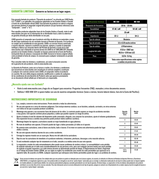#### GARANTÍA LIMITADA Conserve su factura en un lugar seguro.

Esta garantía limitada de producto ("Garantía de producto") es ofrecida por LOUD Audio, LLC ("LOUD") y es aplicable a los productos adquiridos en los Estados Unidos o Canadá a través de un distribuidor oficial LOUD. Esta Garantía de producto no cubrirá a ninguna otra persona distinta al comprador original del producto (al que haremos referencia como "Comprador", "usted" o "tú").

Para aquellos productos adquiridos fuera de los Estados Unidos o Canadá, visite la web www.mackie.com para ver la información de su distribuidor local y sobre la cobertura en garantía ofrecida por dicho distribuidor en ese país.

LOUD garantiza al comprador que el producto está libre de defectos en materiales y mano de obra bajo condiciones de uso normales durante el Periodo de Garantía. Si el producto no cumple con lo establecido en esta garantía, LOUD o su servicio técnico autorizado, a nuestra elección, reparará o sustituirá ese aparato, siempre y cuando el comprador notifique a fábrica esa situación dentro del Periodo de Garantía a través de la web: www.mackie.com o llamando al servicio técnico de LOUD en el 1.800.898.3211 (llamada gratuita en los Estados Unidos y Canadá) en horario comercial de la Costa del Pacífico, excluyendo fines de semana o vacaciones de LOUD. Conserve la factura original sellada como pruebade la fecha de compra. Es necesaria para cualquier reclamación en periodo de garantía.

Para consultar todos los términos y condiciones, así como la duración concreta de la garantía de este producto, visite la www.mackie.com.

La Garantía de Producto, junto con su factura o recibo y los términos y condiciones que encontrará en www.mackie.com constituyen el contrato completo y sustituyen a cualquier otro contrato anterior entre LOUD y el comprador relativo al producto en cuestión. No será válida ninguna enmienda, modificación o cambio de cualquiera de las condiciones de esta Garantía de Producto salvo que aparezca previamente en un documento oficial sellado por el fabricante y/o responsable.

| Especificaciones técnicas  | <b>MC-350</b>                                                            | <b>MC-450</b> |
|----------------------------|--------------------------------------------------------------------------|---------------|
| Respuesta de frecuencia    | 20 Hz - 20 kHz                                                           |               |
| Sensibilidad               | 97 dB / mW                                                               | 101 dB $/$ mW |
| Máxima potencia de entrada | <b>20 mW</b>                                                             |               |
| Impedancia                 | $32\Omega$                                                               | 54 $\Omega$   |
| Tipo de cabezal            | <b>Dinámico</b>                                                          |               |
| Tipo de entrada            | 3.5 o 6.35 macho estéreo                                                 |               |
| Tipo de salidas            | <b>L/R Auriculares</b>                                                   |               |
| Longitud del cable         | 117.6 in • 2987 mm<br>48,0 in $\cdot$ 1219 mm (x2)                       |               |
| Peso                       | $0.8$ lb $\cdot$ 0.4 kg                                                  |               |
|                            | Todas estas especificaciones están sujetas<br>a cambios sin previo aviso |               |

Duración diaría en horas

Nivel de sonido

8 90 dB 6 92 dB 4 95 dB 3 97 dB 2 100 dB 1,5 102 dB 1 105 dB 0,5 | 110 dB 0,25 o menos 115 dB

#### ¿Necesita ayuda con sus Earbuds?

- Visite la web www.mackie.com y haga clic en Support para encontrar: Preguntas frecuentes (FAQ), manuales y otros documentos anexos.
- Teléfono 1-800-898-3211 si quiere hablar con uno de nuestros estupendos técnicos (lunes a viernes, horario laboral clásico, hora de la Costa del Pacífico).

#### INSTRUCCIONES IMPORTANTES DE SEGURIDAD

- 1. Lea, cumpla y conserve estas instrucciones. Preste atención a todas las advertencias.
- 2. No use este aparato en o cerca de entornos peligrosos. Esto incluye mientras conduce, va en bicicleta, andando, corriendo y en otros entornos con tráfico en los que se puedan producir accidentes.
- 3. Mantenga este aparato y sus accesorios fuera del alcance de los niños. Lo contrario puede suponer un riesgo de accidentes mortales o muy graves. Este aparato contiene piezas pequeñas y cables que pueden suponer un riesgo de asfixia.
- 4. Ajuste al mínimo el nivel de volumen del dispositivo audio conectado y después, tras conectar los auriculares, ajuste el volumen gradualmente. Una exposición brusca a sonidos muy potentes puede producir daños auditivos (sordera).
- 5. Mantenga limpios los tapones y auriculares usando un trapo humedecido en agua jabonosa.
- 6. No trate de modificar este aparato. El hacerlo puede dar lugar a daños personales y/o fallos en el aparato.
- 7. No sumerja estos auriculares, como al darse una ducha, baño o lavarse. El no tener en cuenta esta advertencia puede dar lugar afallos o averías.
- 8. No use este aparato mientras duerme de cara a evitar accidentes.
- 9. Extraiga los tapones tirando con un suave giro. Nunca tire del cable de los auriculares.
- 10. Deje de usar los auriculares de inmediato si le producen molestias, irritaciones, pinchazos, descargas u otra reacción adversa.
- 11. Si está recibiendo cualquier tipo de tratamiento en el oído, consulte a su médico antes de usar este aparato.
- 12. La exposición a niveles de ruido extremadamente altos puede causar problemas de sordera crónica. La susceptibilidad a esta pérdida de audición inducida por el ruido varía considerablemente de una persona a otra, pero casi cualquier persona tendrá una cierta pérdida de audición al quedar expuestos a un ruido intenso durante un determinado periodo de tiempo. El Departamento de Salud y Seguridad en el Trabajo de Estados Unidos (OSHA, por sus siglas en inglés) ha establecido unos niveles de ruido permisibles que aparecen en la siguiente tabla. De acuerdo a la OSHA, cualquier exposición que sobrepase estos límites permisibles puede dar lugar a un problema de sordera.



Forma correcta de eliminar este aparato: Este símbolo indica que este producto no puede ser eliminado junto con la basura orgánica, de acuerdo a lo indicado en la Directiva de Residuos de Aparatos Eléctricos y Electrónicos (2012/19/EU) y a la legislación vigente de su país. Este producto debe ser entregado en uno de los "puntos limpios" autorizados para su reciclaje. La eliminación inadecuada de este tipo de residuos puede tener un impacto n en el medio ambiente y la salud humana debido a las sustancias potencialmente peligrosas asociadas generalmente con este tipo de aparatos. Al mismo tiempo, su cooperación a la hora de eliminar adecuadamente este producto contribuirá a un uso más eficaz de los recursos naturales. Para más información acerca la correcta eliminación de este tipo de aparatos, póngase en contacto con el Ayuntamiento de su ciudad, empresa local de recogida de ba con uno de los "puntos limpios" autorizados.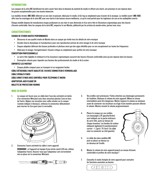#### INTRODUCTION

Les casques de la série MC bénéficient de notre savoir-faire dans le domaine du matériel de studio et offrent une clarté, une précision et une réponse dans les graves exceptionnelles pour une écoute immersive.

Les modèles fermés (MC-350) délivrent un son clair et puissant, idéal pour le studio, le DJ-ing ou simplement pour écouter de la musique. Le modèle ouvert (MC-450) offre tous les avantages de la série MC avec une clarté et des basses encore meilleures, ce qui le rend parfait pour les ingénieurs du son ou les audiophiles avertis.

Chaque modèle dispose de transducteurs larges produisant un son clair et sans distorsion et d'un serre-tête et d'écouteurs ergonomique pour des heures d'écoute confortable. Avec les casques de la série MC, emportez le son Mackie, plébiscité par les artistes du monde entier, partout avec vous.

#### CARACTÉRISTIQUES

#### CASQUE DE STUDIO HAUTES PERFORMANCES

- Découvrez le son qualité studio de Mackie dans un casque qui révèle tous les détails de votre musique
- Grande réserve dynamique et transducteurs pour une reproduction précise de votre mixage et de votre musique
- Coques adaptées délivrant des basses profondes et pêchues ainsi que des aigus détaillés pour un son exceptionnel sur toutes les fréquences
- Idéal pour le mixage, l'enregistrement, l'écoute critique ou simplement pour profiter de votre musique

#### CONCEPTION PROFESSIONNELLE

- Le serre-tête réglable et rembourré et les écouteurs ergonomiques assurent des heures d'écoute confortable ainsi qu'une réponse dans les basses
- Conception robuste pour répondre aux besoins des professionnels du studio et de la scène

#### EMPORTEZ-LES PARTOUT

• Casque pliable compact pour un transport et un rangement faciles

CÂBLE DÉTACHABLE HAUTE QUALITÉ DE 3 M AVEC CONNECTEUR À VERROUILLAGE CÂBLE SPIRALÉ D'1M20 CÂBLE DROIT D'1M20 AVEC CONTRÔLE POUR TÉLÉPHONE ET MICRO ADAPTATEUR JACK PLAQUÉ OR MALETTE DE PROTECTION FOURNIE

#### MISE EN ŒUVRE

1. Le casque est fourni avec un câble dont l'une des extrémité est dotée d'un connecteur MiniJack avec deux encoches placées l'une en face de l'autre. Alignez ces encoches avec celles situées sur le casque (comme indiqué ci-dessous), enfoncez le connecteur délicatement puis tournez-le d'un quart pour le verrouiller.



2. Connectez l'autre extrémité du câble à votre appareil.

 REMARQUE : si l'appareil est équipé d'une entrée Jack 6,35 mm, utilisez l'adaptateur fourni. Assurez-vous que l'adaptateur soit correctement mis en place sur le connecteur MniJack.



- 3. Vos oreilles sont précieuses ! Faites attention aux dommages permanents de l'audition. Diminuez le volume de votre appareil. Même un niveau intermédiaire peut être dangereux. Mettez toujours le volume au minimum avant de connecter vos écouteurs ou d'agir d'une manière pouvant affecter le volume. Montez ensuite le volume progressivement.
- 4. Placez le casque sur vos oreilles. Les marquages L/R (gauche/droite) sont indiqués sur la partie intérieure du serre-tête, juste au-dessus de chaque écouteur. Les bandes de couleur indiquent également le positionnement correct – L (gris) / R (vert) (le câble vient se connecter au côté gauche).
- 5. Le câble des deux modèles MC peut se placer au-dessus ou en-dessous de l'oreille.



- 6. Montez le volume de votre appareil jusqu'à un niveau d'écoute confortable et profitez de votre musique !
- 7. Consultez le mode d'emploi de votre appareil pour connaitre les fonctions associées au bouton.

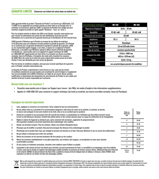#### GARANTIE LIMITÉE Conservez vos tickets de caisse dans un endroit sûr.

Cette garantie limitée du produit ("Garantie du Produit") est fournie par LOUD Audio, LLC ("LOUD")et est applicable aux produits achetés aux états-Unis ou au Canada chez un revendeur ou fournisseur agréé par LOUD. La Garantie du Produit n'est valable que pour l'acheteur original du produit (ci-après appelé "l'Acheteur," "vous" ou "votre").

Pour les produits achetés en dehors des USA ou du Canada, consultez www.mackie.com pour trouver les informations de contact de votre distributeur local ainsi que des informations sur la couverture de la garantie fournie par le distributeur de votre marché local.

LOUD garantit à l'Acheteur que le Produit est exempt de tout défaut de matériaux et de fabrication pour une utilisation normale pendant la période de garantie. Si le Produit ne se conforme pas à la garantie mentionnée ici pendant la période de la garantie, LOUD ou son représentant agréé s'engage, à son choix, à réparer ou à remplacer le Produit défectueux, à considérer que l'Acheteur signale le défaut durant la Période de Garantie à la Société sur : www.mackie.com ou en appelant le support technique de LOUD au 1.800.898.3211 (appel gratuit aux états-Unis et au Canada) aux heures ouvrables normales, heure du Pacifique, à l'exception des week ends et pendant les vacances de LOUD. Merci de conserver le ticket de caisse original daté comme preuve de la date d'achat. Il vous sera demandé pour tout service de garantie.

Pour les termes et conditions complets, ainsi que pour la durée spécifique de la garantie pour ce Produit, consultez www.mackie.com.

La Garantie du Produit, conjointement à votre facture ou reçu, ainsi que les termes et conditions mentionnés sur www.mackie.com constituent le contrat intégral, et supplantent tout accord préalable entre LOUD et l'Acheteur sur l'objet de cet accord. Aucun avenant, modification ou désistement des dispositions de cette Garantie du Produit ne sera valide sauf mention écrite par la partie responsable par la présente.

| Caractéristiques techniques | MC-350                                             | <b>MC-450</b> |
|-----------------------------|----------------------------------------------------|---------------|
| Réponse en fréquence        | 20 Hz - 20 kHz                                     |               |
| Sensibilité                 | 97 dB / mW                                         | 101 dB $/$ mW |
| Puissance max en entrée     | <b>20 mW</b>                                       |               |
| Impédance                   | $32\Omega$                                         | 54 $\Omega$   |
| Type de HP                  | <b>Dynamique</b>                                   |               |
| Type d'entrée               | 3,5 ou 6,35 mâle stéréo                            |               |
| Type de sorties             | écouteurs gauche/droite                            |               |
| Longueur du câble           | 117.6 in • 2987 mm<br>48,0 in $\cdot$ 1219 mm (x2) |               |
| Poids                       | $0.8$ lb $\cdot$ 0.4 kg                            |               |
|                             | Les caractéristiques peuvent être modifiées        |               |

#### Besoin d'aide avec vos écouteurs ?

- Consultez www.mackie.com et cliquez sur Support pour trouver : des FAQs, les modes d'emploi et des informations supplémentaires.
- Appelez le 1-800-898-3211 pour contacter le support technique (du lundi au vendredi, aux heures ouvrables normales, heure du Pacifique).

#### Consignes de sécurité importantes

1. Lisez, appliquez et conservez ces instructions. Tenez compte de tous les avertissements.

| 2.  | Ne pas utiliser dans ou à proximité d'un environnement dangereux. Cela inclus les zones où la conduite, le cyclisme, la marche,<br>la course sont pratiqués et tout autre endroit où du trafic a lieu et où un accident peut se produire.<br>Durée, en                                                                                                               |                    | Niveau |
|-----|----------------------------------------------------------------------------------------------------------------------------------------------------------------------------------------------------------------------------------------------------------------------------------------------------------------------------------------------------------------------|--------------------|--------|
| 3.  | Conservez ce produit et ses accessoires hors de la portée des enfants. La manipulation ou l'utilisation par des enfants peuvent causer<br>la mort ou des blessures sérieuses. Contient des petites pièces et des cordons pouvant poser un risque de suffocation ou de strangulation.                                                                                 | heures par<br>iour | sonore |
| 4.  | Réglez le volume de l'appareil au minimum puis, après connexion des écouteurs, augmentez-le progressivement.<br>Une exposition soudaine à des bruits importants peut endommager votre audition.                                                                                                                                                                      |                    | 90 dB  |
| 5.  | Gardez vos écouteurs propres. Pour les nettoyer, utilisez une solution détergente douce.                                                                                                                                                                                                                                                                             |                    | 92 dB  |
| 6.  | N'essayez pas de modifier ce produit. Cela pourrait provoquer des blessure et/ou endommager le produit.                                                                                                                                                                                                                                                              |                    | 95 dB  |
| 7.  | N'immergez pas le produit dans l'eau, par exemple en prenant une douche ou un bain. Cela peut détériorer le son ou causer des malfonctions.                                                                                                                                                                                                                          |                    | 97 dB  |
| 8.  | Ne pas utiliser en dormant pour éviter tout accident.                                                                                                                                                                                                                                                                                                                |                    |        |
| 9.  | Retirez les écouteurs en les tournant lentement. Ne tirez jamais sur les cordons.                                                                                                                                                                                                                                                                                    |                    | 100 dB |
| 10. | Retirez les écouteurs immédiatement si une gêne importante, une irritation, des rougeurs, un écoulement ou toute autre réaction                                                                                                                                                                                                                                      | 1.5                | 102 dB |
|     | inconfortable se produit.                                                                                                                                                                                                                                                                                                                                            |                    | 105 dB |
| 11. | Si vous suivez un traitement auriculaire, consultez votre médecin avant d'utiliser ce produit.                                                                                                                                                                                                                                                                       |                    |        |
| 12. | L'exposition à des niveaux de bruit très élevés peut entraîner une perte permanente de l'ouïe. La sensibilité à ces dommages varie d'un individu                                                                                                                                                                                                                     | 0.5                | 110 dB |
|     | à l'autre, mais tout le monde est appelé à des dommages auditifs extrêmes en présence de niveaux sonores élevés. L'Administration de la Sécurité<br>et de la Santé (OSHA) du Gouvernement des États-Unis a publié les niveaux de bruit indiqués dans le tableau ci-dessous. Selon l'OSHA, toute<br>exposition au-delà de ces limites entraîne des dommages auditifs. | $0.25$ ou<br>moins | 115dB  |



Mise au rebut appropriée de ce produit: Ce symbole indique qu'en accord avec la directive WEEE (2012/19/EU) et les lois en vigueur dans votre pays, ce produit ne doit pas être jeté avec les déchets ménagers. Ce produit doi déposé dans un point de collecte agréé pour le recyclage des déchets d'équipements électriques et électroniques (EEE). Une mauvaise manipulation de ce type de déchets pourrait avoir un impact négatif sur l'environnement et à cause des substances potentiellement dangereuses généralement associées à ces équipements. En même temps, votre coopération dans la mise au rebut de ce produit contribuera à l'utilisation efficace des ressources naturell Pour plus d'informations sur l'endroit où vous pouvez déposer vos déchets d'équipements pour le recyclage, veuillez contacter votre mairie ou votre centre local de collecte des déchets.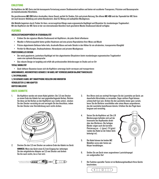#### **EINLEITUNG**

Die Kopfhörer der MC-Serie sind die konsequente Fortsetzung unserer Studiomonitortradition und bieten mit exzellenter Transparenz, Präzision und Bassansprache ein beeindruckendes Hörerlebnis.

Die geschlossenen MC-350 liefern druckvollen, klaren Sound, perfekt für Studios, DJs und private Nutzung. Die offenen MC-450 sind das Topmodell der MC-Serie mit noch besserer Abbildung und sattem Bassbereich, ideal für Mixing und audiophilen Musikgenuss.

Alle Modelle begeistern durch Treiber für klare, verzerrungsfreie Klänge sowie ergonomische Kopfbügel und Ohrpolster für stundenlangen Tragekomfort. Mit den Kopfhörern der MC-Serie ist der von internationalen Künstlern hoch geschätzte Mackie Studiosound überall verfügbar.

#### **FEATURES**

#### HOCHLEISTUNGSKOPFHÖRER IN STUDIOQUALITÄT

- Erleben Sie den signature Mackie Studiosound mit Kopfhörern, die jedes Detail offenbaren
- Wandler in Referenzqualität bieten großen Headroom und eine präzise Reproduktion Ihrer Mixes und Musik
- Präzise abgestimmte Gehäuse liefen tiefe, druckvolle Bässe und mehr Details in den Höhen für ein ultrabreites, transparentes Klangbild
- Perfekt für Mischungen, Studioaufnahmen, Höranalysen und privaten Musikgenuss

#### PROFESSIONELLES DESIGN

- Der weich gepolsterte, justierbare Kopfbügel mit fein abgestimmten Ohrpolstern bietet stundenlangen ergonomischen Tragekomfort sowie eine optimale Bassansprache
- Das robuste Design ist langlebig und erfüllt alle professionellen Anforderungen im Studio und vor Ort

#### TOTALE MOBILITÄT

• Dank faltbarer Bauweise lassen sich die Kopfhörer unterwegs leicht verstauen und transportieren

#### ABNEHMBARES, HOCHWERTIGES GERADES 3 M KABEL MIT VERRIEGELBAREM BAJONETTANSCHLUSS

#### 1,2 M SPIRALKABEL

1,2 M GERADES KABEL MIT SMARTPHONE-REGLERN UND MIKROFON VERGOLDETER 6,3 MM ADAPTER KOFFER INKLUSIVE

#### ERSTE SCHRITTE

1. Die Kopfhörer werden mit einem Kabel geliefert. Der 3,5 mm Stecker an einem Ende des Kabels hat zwei gegenüberliegende Kerben. Richten Sie diese auf die Kerben an den Kopfhörern aus (siehe unten), stecken Sie den Stecker vorsichtig ein und verriegeln Sie den Anschluss, indem Sie den Stecker eine Vierteldrehung nach rechts drehen.



2. Stecken Sie den 3,5 mm Stecker am anderen Ende des Kabels ins Gerät. HINWEIS: Wenn das Gerät einen 6,3 mm Eingang hat, befestigen Sie den mitgelieferten Adapter am 3,5 mm Stecker und drehen Sie ihn nach rechts, bis er fest sitzt.



- 3. Ihre Ohren sind uns wichtig! Verringern Sie die Lautstärke am Gerät, um dauerhafte Hörschäden zu vermeiden. Sogar mittlere Pegel können schmerzhaft laut sein. Drehen Sie die Lautstärke immer ganz zurück, bevor Sie die Ohrhörer anschließen oder etwas Neues ausprobieren, das die Lautstärke beeinflussen könnte. Erhöhen Sie den Pegel dann langsam und vorsichtig.
- 4. Setzen Sie die Kopfhörer auf. Die L/R Markierungen befinden sich auf der Innenseite des Kopfbandes direkt über den Ohrhörern. Die farbigen Bänder zeigen auch die korrekte Platzierung an – L (grau) / R (grün) (wobei das Kabel an der linken Seite befestigt ist).
- 5. Die Kabel können bei beiden MC Modellen vorne oder hinten am Körper herabhängen.
- 
- 6. Stellen Sie am Gerät einen angenehmen Lautstärkepegel ein undgenießen Sie!
- 7. Die Funktion spezieller Tasten ist im Bedienungshandbuch Ihres Geräts beschrieben.

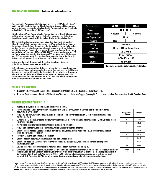Diese beschränkte Produktgarantie ("Produktgarantie") wird von LOUD Audio, LLC ("LOUD") gewährt und gilt für Produkte, die in den USA oder Kanada bei einem von LOUD autorisierten Wiederverkäufer oder Einzelhändler gekauft wurden. Die Produktgarantie gilt nur für Erstkäufer des Produkts (im Folgenden "Kunde", "Sie" oder "Ihren").

Bei außerhalb der USA oder Kanada gekauften Produkten informieren Sie sich bitte unter www. mackie.com über die Kontaktdaten unseres örtlichen Vertriebspartners und die Details der Garantieleistungen, die vom Vertriebshändler für Ihren lokalen Markt gewährt werden.

LOUD garantiert dem Kunden, dass das Produkt während der Garantiezeit bei normalem Gebrauch frei von Material- und Verarbeitungsfehlern ist. Wenn das Produkt dieser Garantie nicht entspricht, kann LOUD oder ihre autorisierte Service-Vertretung das fehlerhafte Produkt nach ihrer Einschätzung entweder reparieren oder ersetzen, vorausgesetzt dass der Kunde den Defekt innerhalb der Garantiezeit unter www.mackie.com bei der Firma meldet oder indem er den technischen Support von LOUD unter 1.800.898.3211 (gebührenfrei innerhalb der USA und Kanada) während der normalen Geschäftszeiten (SPT), mit Ausnahme von Wochenenden oder LOUD-Betriebsferien, anruft. Bitte bewahren Sie den originalen datierten Kaufbeleg als Nachweis des Kaufdatums auf. Er ist die Voraussetzung für alle Garantieleistungen.

Die kompletten Garantiebedingungen sowie die spezielle Garantiedauer für dieses Produkt können Sie unter www.mackie.com nachlesen.

Die Produktgarantie zusammen mit Ihrer Rechnung bzw. Ihrem Kaufbeleg sowie die unter www. mackie.com aufgeführten Bedingungen stellen die gesamte Vereinbarung dar, die alle bisherigen Vereinbarungen zwischen LOUD und dem Kunden bezüglich des hier behandelten Gegenstands außer Kraft setzt. Alle Nachträge, Modifikationen oder Verzichtserklärungen bezüglich der Bestimmungen dieser Produktgarantie treten erst in Kraft, wenn sie schriftlich niedergelegt und von der sich verpflichtenden Partei unterschrieben wurden.

| <b>Technische Daten</b> | MC-350                                            | <b>MC-450</b> |
|-------------------------|---------------------------------------------------|---------------|
| Frequenzgang            | 20 Hz - 20 kHz                                    |               |
| <b>Empfindlichkeit</b>  | 97 dB / mW                                        | 101 dB $/$ mW |
| Max. Eingangspegel      | 20 mW                                             |               |
| Impedanz                | $32\,\Omega$                                      | 54 $\Omega$   |
| Treibertyp              | <b>Dynamisch</b>                                  |               |
| Eingangstyp             | 3,5 mm ou 6,35 mm Stecker, Stereo                 |               |
| Ausgangstyp             | L/R Kopfhörer                                     |               |
| Kabellänge              | 117.6 in • 2987 mm<br>48,0 in • 1219 mm (x2)      |               |
| Gewicht                 | $0.8$ lb $\cdot$ 0.4 kg                           |               |
|                         | Technische Änderungen und Ergänzungen vorbehalten |               |

Nutzung pro Tag in Stunden

0,25 oder weniger

**Schallpegel** 

115 dB

8 90 dB 6 92 dB 4 95 dB 3 97 dB 2 100 dB 1.5 102 dB 1 105 dB 0.5 | 110 dB

#### Wenn Sie Hilfe benötigen:

- Besuchen Sie auf www.mackie.com die Rubrik Support: Hier finden Sie FAQs, Handbücher und Ergänzungen.
- Unter der Telefonnummer 1-800-898-3211 erreichen Sie unseren technischen Support (Montag bis Freitag zu den üblichen Geschäftszeiten, Pacific Standard Time).

#### WICHTIGE SICHERHEITSHINWEISE

- 1. Anleitungen lesen, befolgen und aufbewahren. Warnhinweise beachten.
- 2. Nicht in gefährlichen Situationen verwenden, zum Beispiel beim Auto/Rad fahren, Laufen, Joggen und anderen Verkehrssituationen, die zu Unfällen führen können.
- 3. Produkt und Zubehör von Kindern fernhalten, da sie sich ernsthaft oder tödlich verletzen könnten. Es besteht Erstickungsgefahr durch Kleinteile und Kabel.
- 4. Lautstärke des Audiogeräts ganz zurückdrehen und erst nach Anschluss der Ohrhörer langsam aufdrehen. Plötzliche, laute Geräusche können Hörschäden verursachen.
- 5. Kopfhörer sauber halten und regelmäßig mit mildem Reinigungsmittel abwaschen.
- 6. Produkt nicht modifizieren, da dies zu Verletzungen und/oder Betriebsstörungen führen könnte.
- 7. Ohrhörer nicht beim Duschen, Baden, Gesichtwaschen oder anderen Gelegenheiten ins Wasser tauchen, um verminderte Klangqualität oder Betriebsstörungen zu vermeiden.
- 8. Nicht beim Schlafen tragen, um Unfälle zu vermeiden.
- 9. Ohrhörer mit einer langsamen Drehbewegung entfernen. Nicht am Kabel ziehen.
- 10. Ohrhörer sofort abnehmen, wenn sie starke Beschwerden, Reizungen, Hautausschläge, Absonderungen oder andere unangenehme Reaktionen verursachen.
- 11. Erlaubnis zur Nutzung der Ohrhörer einholen, wenn man aktuell bei einem Ohrenarzt in Behandlung ist.
- 12. Extrem hohe Geräuschpegel können zu dauerhaftem Gehörverlust führen. Lärmbedingter Gehörverlust tritt von Person zu Person unterschiedlich schnell ein, aber fast jeder wird einen Teil seines Gehörs verlieren, wenn er über einen Zeitraum ausreichend hohen Lärmpegeln ausgesetzt ist. Die Occupational Safety and Health Administration (OSHA) der US-Regierung hat den zulässigen Geräuschpegel in der folgenden Tabelle festgelegt. Nach Meinung der OSHA können alle Lärmpegel, die diese zulässigen Grenzen überschreiten, zu Gehörverlust führen.



Korrekte Entsorgung dieses Produkts: Diese Symbol weist darauf hin, dass das Produkt entsprechend den WEEE Richtlinien (2012/19/EU) und den Landesgesetzen nicht im Hausmüll entsorgt werden darf. Dieses Produkt sollte einer autorisierten Sammelstelle zum Recyceln von unbrauchbaren elektrischen und elektronischen Geräten (EEE) übergeben werden. Unsachgemäßer Umgang mit dieser Abfallart könnte aufgrund der in EEE enthaltenen gefährlichen Substanzen negative Auswirkungen auf die Umwelt und menschliche Gesundheit haben. Gleichzeitig tragen Sie durch Ihre Teilnahme an der korrekten Entsorgung dieses Produkts zu einer effektiven Nutzung natürlicher Ressourcen Weitere Informationen zu Annahmestellen, die unbrauchbare Geräte recyceln, erhalten Sie bei der örtlichen Stadtverwaltung, dem Entsorgungsträger oder der Müllabfuhr.